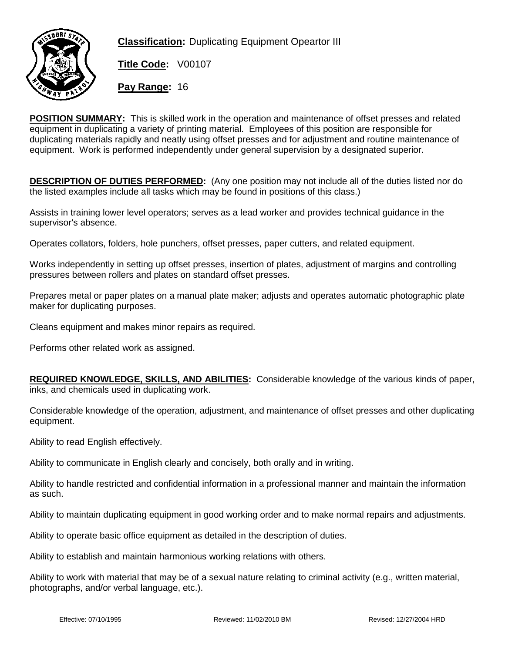

**Classification:** Duplicating Equipment Opeartor III

**Title Code:** V00107

**Pay Range:** 16

**POSITION SUMMARY:** This is skilled work in the operation and maintenance of offset presses and related equipment in duplicating a variety of printing material. Employees of this position are responsible for duplicating materials rapidly and neatly using offset presses and for adjustment and routine maintenance of equipment. Work is performed independently under general supervision by a designated superior.

**DESCRIPTION OF DUTIES PERFORMED:** (Any one position may not include all of the duties listed nor do the listed examples include all tasks which may be found in positions of this class.)

Assists in training lower level operators; serves as a lead worker and provides technical guidance in the supervisor's absence.

Operates collators, folders, hole punchers, offset presses, paper cutters, and related equipment.

Works independently in setting up offset presses, insertion of plates, adjustment of margins and controlling pressures between rollers and plates on standard offset presses.

Prepares metal or paper plates on a manual plate maker; adjusts and operates automatic photographic plate maker for duplicating purposes.

Cleans equipment and makes minor repairs as required.

Performs other related work as assigned.

**REQUIRED KNOWLEDGE, SKILLS, AND ABILITIES:** Considerable knowledge of the various kinds of paper, inks, and chemicals used in duplicating work.

Considerable knowledge of the operation, adjustment, and maintenance of offset presses and other duplicating equipment.

Ability to read English effectively.

Ability to communicate in English clearly and concisely, both orally and in writing.

Ability to handle restricted and confidential information in a professional manner and maintain the information as such.

Ability to maintain duplicating equipment in good working order and to make normal repairs and adjustments.

Ability to operate basic office equipment as detailed in the description of duties.

Ability to establish and maintain harmonious working relations with others.

Ability to work with material that may be of a sexual nature relating to criminal activity (e.g., written material, photographs, and/or verbal language, etc.).